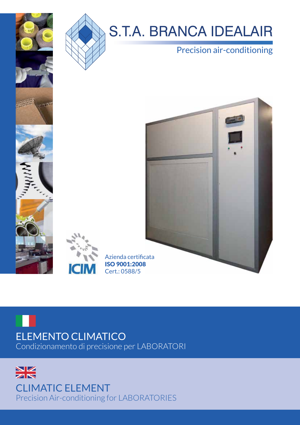

## S.T.A. BRANCA IDEALAIR

## Precision air-conditioning



## ELEMENTO CLIMATICO Condizionamento di precisione per LABORATORI

**IGIT** 

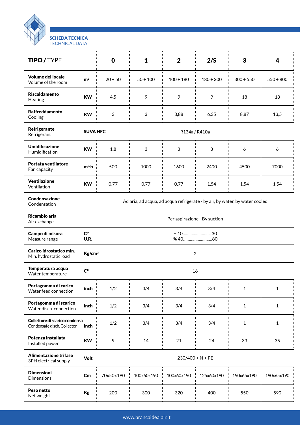

| <b>TIPO/TYPE</b>                                              |                                                                             | $\mathbf 0$  | $\mathbf{1}$  | $\mathbf 2$    | 2/S            | 3              | 4              |
|---------------------------------------------------------------|-----------------------------------------------------------------------------|--------------|---------------|----------------|----------------|----------------|----------------|
| <b>Volume del locale</b><br>Volume of the room                | m <sup>3</sup>                                                              | $20 \div 50$ | $50 \div 100$ | $100 \div 180$ | $180 \div 300$ | $300 \div 550$ | $550 \div 800$ |
| <b>Riscaldamento</b><br>Heating                               | <b>KW</b>                                                                   | 4,5          | 9             | 9              | 9              | 18             | 18             |
| <b>Raffreddamento</b><br>Cooling                              | <b>KW</b>                                                                   | 3            | 3             | 3,88           | 6,35           | 8,87           | 13,5           |
| Refrigerante<br>Refrigerant                                   | <b>SUVA HFC</b><br>R134a / R410a                                            |              |               |                |                |                |                |
| <b>Umidificazione</b><br>Humidification                       | <b>KW</b>                                                                   | 1,8          | 3             | 3              | 3              | 6              | 6              |
| Portata ventilatore<br>Fan capacity                           | $m^{3}/h$                                                                   | 500          | 1000          | 1600           | 2400           | 4500           | 7000           |
| Ventilazione<br>Ventilation                                   | <b>KW</b>                                                                   | 0,77         | 0,77          | 0,77           | 1,54           | 1,54           | 1,54           |
| Condensazione<br>Condensation                                 | Ad aria, ad acqua, ad acqua refrigerate - by air, by water, by water cooled |              |               |                |                |                |                |
| Ricambio aria<br>Air exchange                                 | Per aspirazione - By suction                                                |              |               |                |                |                |                |
| Campo di misura<br>Measure range                              | $\mathsf{C}^\circ$<br>$+10$ 30<br>U.R.<br>%40<br>.80                        |              |               |                |                |                |                |
| Carico idrostatico min.<br>Min. hydrostatic load              | Kg/cm <sup>3</sup><br>$\overline{2}$                                        |              |               |                |                |                |                |
| Temperatura acqua<br>Water temperature                        | $\mathsf{C}^\circ$<br>16                                                    |              |               |                |                |                |                |
| Portagomma di carico<br>Water feed connection                 | inch                                                                        | $1/2$        | 3/4           | 3/4            | 3/4            | 1              | 1              |
| Portagomma di scarico<br>Water disch. connection              | inch                                                                        | 1/2          | 3/4           | 3/4            | 3/4            | 1              | 1              |
| Collettore di scarico condensa<br>Condensate disch. Collector | inch                                                                        | 1/2          | 3/4           | 3/4            | 3/4            | 1              | 1              |
| Potenza installata<br>Installed power                         | <b>KW</b>                                                                   | 9            | 14            | 21             | 24             | 33             | 35             |
| Alimentazione trifase<br>3PH electrical supply                | Volt<br>$230/400 + N + PE$                                                  |              |               |                |                |                |                |
| <b>Dimensioni</b><br><b>Dimensions</b>                        | $\mathsf{Cm}$                                                               | 70x50x190    | 100x60x190    | 100x60x190     | 125x60x190     | 190x65x190     | 190x65x190     |
| Peso netto<br>Net weight                                      | Kg                                                                          | 200          | 300           | 320            | 400            | 550            | 590            |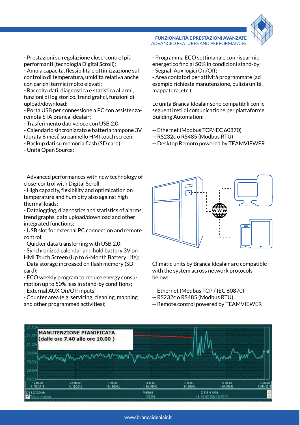

- Prestazioni su regolazione close-control più performanti (tecnologia Digital Scroll);

- Ampia capacità, flessibilità e ottimizzazione sul controllo di temperatura, umidità relativa anche con carichi termici molto elevati;

- Raccolta dati, diagnostica e statistica allarmi, funzioni di log storico, trend grafici, funzioni di upload/download;

- Porta USB per connessione a PC con assistenzaremota STA Branca Idealair;

- Trasferimento dati veloce con USB 2.0;

- Calendario sincronizzato e batteria tampone 3V (durata 6 mesi) su pannello HMI touch screen;

- Backup dati su memoria flash (SD card);
- Unità Open Source;

- Advanced performances with new technology of close-control with Digital Scroll;

- High capacity, flexibility and optimization on temperature and humidity also against high thermal loads;

- Datalogging, diagnostics and statistics of alarms, trend graphs, data upload/download and other integrated functions;

- USB slot for external PC connection and remote control;

- Quicker data transferring with USB 2.0;

- Synchronized calendar and hold battery 3V on HMI Touch Screen (Up to 6-Month Battery Life); - Data storage increased on flash memory (SD card);

- ECO weekly program to reduce energy consumption up to 50% less in stand-by conditions;

- External AUX On/Off inputs;

- Counter area (e.g. servicing, cleaning, mapping and other programmed activities);

- Programma ECO settimanale con risparmio energetico fino al 50% in condizioni stand-by; - Segnali Aux logici On/Off;

FUNZIONALITÀ E PRESTAZIONI AVANZATE ADVANCED FEATURES AND PERFORMANCES

- Area contatori per attività programmate (ad esempio richiesta manutenzione, pulizia unità, mappatura, etc.);

Le unità Branca Idealair sono compatibili con le seguenti reti di comunicazione per piattaforme Building Automation:

- -- Ethernet (Modbus TCP/IEC 60870)
- -- RS232c o RS485 (Modbus RTU)
- -- Desktop Remoto powered by TEAMVIEWER



Climatic units by Branca Idealair are compatible with the system across network protocols below:

- -- Ethernet (Modbus TCP / IEC 60870)
- -- RS232c o RS485 (Modbus RTU)
- -- Remote control powered by TEAMVIEWER